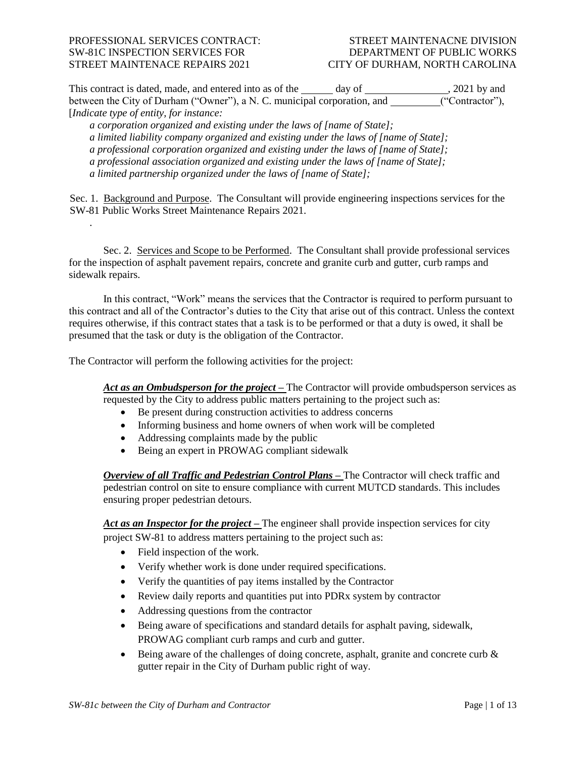# PROFESSIONAL SERVICES CONTRACT: STREET MAINTENACNE DIVISION SW-81C INSPECTION SERVICES FOR DEPARTMENT OF PUBLIC WORKS STREET MAINTENACE REPAIRS 2021 CITY OF DURHAM, NORTH CAROLINA

.

This contract is dated, made, and entered into as of the <u>same and a</u> day of <u>same section</u>, 2021 by and between the City of Durham ("Owner"), a N. C. municipal corporation, and \_\_\_\_\_\_\_\_("Contractor"), [*Indicate type of entity, for instance:*

*a corporation organized and existing under the laws of [name of State]; a limited liability company organized and existing under the laws of [name of State]; a professional corporation organized and existing under the laws of [name of State]; a professional association organized and existing under the laws of [name of State]; a limited partnership organized under the laws of [name of State];* 

Sec. 1. Background and Purpose. The Consultant will provide engineering inspections services for the SW-81 Public Works Street Maintenance Repairs 2021.

Sec. 2. Services and Scope to be Performed. The Consultant shall provide professional services for the inspection of asphalt pavement repairs, concrete and granite curb and gutter, curb ramps and sidewalk repairs.

In this contract, "Work" means the services that the Contractor is required to perform pursuant to this contract and all of the Contractor's duties to the City that arise out of this contract. Unless the context requires otherwise, if this contract states that a task is to be performed or that a duty is owed, it shall be presumed that the task or duty is the obligation of the Contractor.

The Contractor will perform the following activities for the project:

*Act as an Ombudsperson for the project –* The Contractor will provide ombudsperson services as requested by the City to address public matters pertaining to the project such as:

- Be present during construction activities to address concerns
- Informing business and home owners of when work will be completed
- Addressing complaints made by the public
- Being an expert in PROWAG compliant sidewalk

*Overview of all Traffic and Pedestrian Control Plans –* The Contractor will check traffic and pedestrian control on site to ensure compliance with current MUTCD standards. This includes ensuring proper pedestrian detours.

*Act as an Inspector for the project –* The engineer shall provide inspection services for city project SW-81 to address matters pertaining to the project such as:

- Field inspection of the work.
- Verify whether work is done under required specifications.
- Verify the quantities of pay items installed by the Contractor
- Review daily reports and quantities put into PDRx system by contractor
- Addressing questions from the contractor
- Being aware of specifications and standard details for asphalt paving, sidewalk, PROWAG compliant curb ramps and curb and gutter.
- $\bullet$  Being aware of the challenges of doing concrete, asphalt, granite and concrete curb  $\&$ gutter repair in the City of Durham public right of way.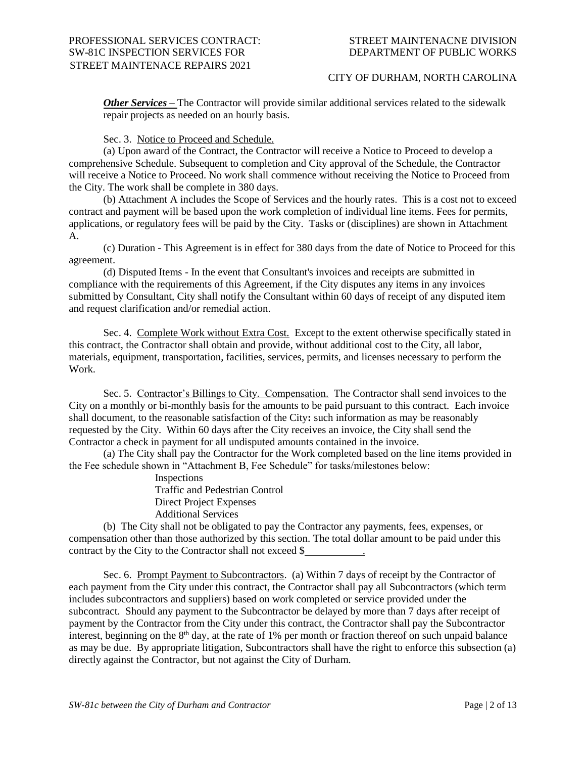*Other Services –* The Contractor will provide similar additional services related to the sidewalk repair projects as needed on an hourly basis.

Sec. 3. Notice to Proceed and Schedule.

(a) Upon award of the Contract, the Contractor will receive a Notice to Proceed to develop a comprehensive Schedule. Subsequent to completion and City approval of the Schedule, the Contractor will receive a Notice to Proceed. No work shall commence without receiving the Notice to Proceed from the City. The work shall be complete in 380 days.

(b) Attachment A includes the Scope of Services and the hourly rates. This is a cost not to exceed contract and payment will be based upon the work completion of individual line items. Fees for permits, applications, or regulatory fees will be paid by the City. Tasks or (disciplines) are shown in Attachment A.

(c) Duration - This Agreement is in effect for 380 days from the date of Notice to Proceed for this agreement.

(d) Disputed Items - In the event that Consultant's invoices and receipts are submitted in compliance with the requirements of this Agreement, if the City disputes any items in any invoices submitted by Consultant, City shall notify the Consultant within 60 days of receipt of any disputed item and request clarification and/or remedial action.

Sec. 4. Complete Work without Extra Cost. Except to the extent otherwise specifically stated in this contract, the Contractor shall obtain and provide, without additional cost to the City, all labor, materials, equipment, transportation, facilities, services, permits, and licenses necessary to perform the Work.

Sec. 5. Contractor's Billings to City. Compensation. The Contractor shall send invoices to the City on a monthly or bi-monthly basis for the amounts to be paid pursuant to this contract. Each invoice shall document, to the reasonable satisfaction of the City**:** such information as may be reasonably requested by the City. Within 60 days after the City receives an invoice, the City shall send the Contractor a check in payment for all undisputed amounts contained in the invoice.

(a) The City shall pay the Contractor for the Work completed based on the line items provided in the Fee schedule shown in "Attachment B, Fee Schedule" for tasks/milestones below:

> Inspections Traffic and Pedestrian Control Direct Project Expenses Additional Services

(b) The City shall not be obligated to pay the Contractor any payments, fees, expenses, or compensation other than those authorized by this section. The total dollar amount to be paid under this contract by the City to the Contractor shall not exceed \$ .

Sec. 6. Prompt Payment to Subcontractors. (a) Within 7 days of receipt by the Contractor of each payment from the City under this contract, the Contractor shall pay all Subcontractors (which term includes subcontractors and suppliers) based on work completed or service provided under the subcontract. Should any payment to the Subcontractor be delayed by more than 7 days after receipt of payment by the Contractor from the City under this contract, the Contractor shall pay the Subcontractor interest, beginning on the  $8<sup>th</sup>$  day, at the rate of 1% per month or fraction thereof on such unpaid balance as may be due. By appropriate litigation, Subcontractors shall have the right to enforce this subsection (a) directly against the Contractor, but not against the City of Durham.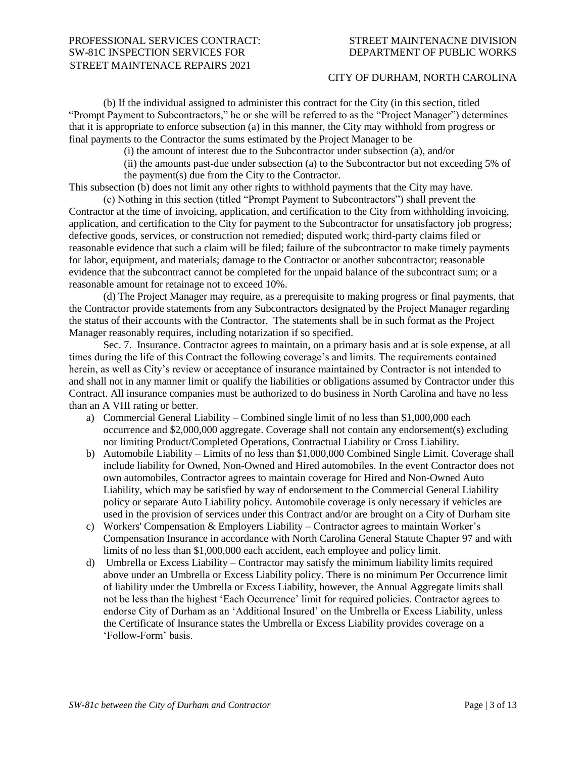## CITY OF DURHAM, NORTH CAROLINA

(b) If the individual assigned to administer this contract for the City (in this section, titled "Prompt Payment to Subcontractors," he or she will be referred to as the "Project Manager") determines that it is appropriate to enforce subsection (a) in this manner, the City may withhold from progress or final payments to the Contractor the sums estimated by the Project Manager to be

(i) the amount of interest due to the Subcontractor under subsection (a), and/or

(ii) the amounts past-due under subsection (a) to the Subcontractor but not exceeding 5% of the payment(s) due from the City to the Contractor.

This subsection (b) does not limit any other rights to withhold payments that the City may have. (c) Nothing in this section (titled "Prompt Payment to Subcontractors") shall prevent the

Contractor at the time of invoicing, application, and certification to the City from withholding invoicing, application, and certification to the City for payment to the Subcontractor for unsatisfactory job progress; defective goods, services, or construction not remedied; disputed work; third-party claims filed or reasonable evidence that such a claim will be filed; failure of the subcontractor to make timely payments for labor, equipment, and materials; damage to the Contractor or another subcontractor; reasonable evidence that the subcontract cannot be completed for the unpaid balance of the subcontract sum; or a reasonable amount for retainage not to exceed 10%.

(d) The Project Manager may require, as a prerequisite to making progress or final payments, that the Contractor provide statements from any Subcontractors designated by the Project Manager regarding the status of their accounts with the Contractor. The statements shall be in such format as the Project Manager reasonably requires, including notarization if so specified.

Sec. 7. Insurance. Contractor agrees to maintain, on a primary basis and at is sole expense, at all times during the life of this Contract the following coverage's and limits. The requirements contained herein, as well as City's review or acceptance of insurance maintained by Contractor is not intended to and shall not in any manner limit or qualify the liabilities or obligations assumed by Contractor under this Contract. All insurance companies must be authorized to do business in North Carolina and have no less than an A VIII rating or better.

- a) Commercial General Liability Combined single limit of no less than \$1,000,000 each occurrence and \$2,000,000 aggregate. Coverage shall not contain any endorsement(s) excluding nor limiting Product/Completed Operations, Contractual Liability or Cross Liability.
- b) Automobile Liability Limits of no less than \$1,000,000 Combined Single Limit. Coverage shall include liability for Owned, Non-Owned and Hired automobiles. In the event Contractor does not own automobiles, Contractor agrees to maintain coverage for Hired and Non-Owned Auto Liability, which may be satisfied by way of endorsement to the Commercial General Liability policy or separate Auto Liability policy. Automobile coverage is only necessary if vehicles are used in the provision of services under this Contract and/or are brought on a City of Durham site
- c) Workers' Compensation & Employers Liability Contractor agrees to maintain Worker's Compensation Insurance in accordance with North Carolina General Statute Chapter 97 and with limits of no less than \$1,000,000 each accident, each employee and policy limit.
- d) Umbrella or Excess Liability Contractor may satisfy the minimum liability limits required above under an Umbrella or Excess Liability policy. There is no minimum Per Occurrence limit of liability under the Umbrella or Excess Liability, however, the Annual Aggregate limits shall not be less than the highest 'Each Occurrence' limit for required policies. Contractor agrees to endorse City of Durham as an 'Additional Insured' on the Umbrella or Excess Liability, unless the Certificate of Insurance states the Umbrella or Excess Liability provides coverage on a 'Follow-Form' basis.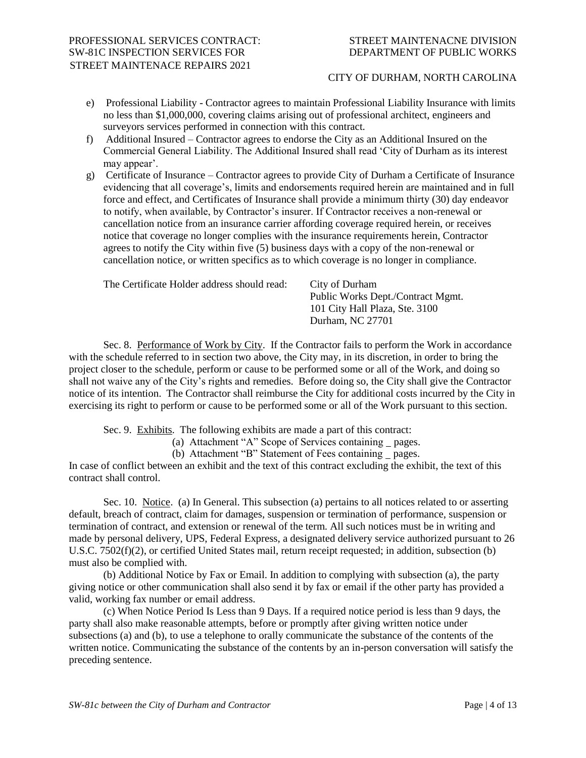- e) Professional Liability Contractor agrees to maintain Professional Liability Insurance with limits no less than \$1,000,000, covering claims arising out of professional architect, engineers and surveyors services performed in connection with this contract.
- f) Additional Insured Contractor agrees to endorse the City as an Additional Insured on the Commercial General Liability. The Additional Insured shall read 'City of Durham as its interest may appear'.
- g) Certificate of Insurance Contractor agrees to provide City of Durham a Certificate of Insurance evidencing that all coverage's, limits and endorsements required herein are maintained and in full force and effect, and Certificates of Insurance shall provide a minimum thirty (30) day endeavor to notify, when available, by Contractor's insurer. If Contractor receives a non-renewal or cancellation notice from an insurance carrier affording coverage required herein, or receives notice that coverage no longer complies with the insurance requirements herein, Contractor agrees to notify the City within five (5) business days with a copy of the non-renewal or cancellation notice, or written specifics as to which coverage is no longer in compliance.

| The Certificate Holder address should read: | City of Durham<br>Public Works Dept./Contract Mgmt.<br>101 City Hall Plaza, Ste. 3100<br>Durham, NC 27701 |
|---------------------------------------------|-----------------------------------------------------------------------------------------------------------|
|                                             |                                                                                                           |
|                                             |                                                                                                           |

Sec. 8. Performance of Work by City. If the Contractor fails to perform the Work in accordance with the schedule referred to in section two above, the City may, in its discretion, in order to bring the project closer to the schedule, perform or cause to be performed some or all of the Work, and doing so shall not waive any of the City's rights and remedies. Before doing so, the City shall give the Contractor notice of its intention. The Contractor shall reimburse the City for additional costs incurred by the City in exercising its right to perform or cause to be performed some or all of the Work pursuant to this section.

Sec. 9. Exhibits. The following exhibits are made a part of this contract:

(a) Attachment "A" Scope of Services containing pages.

(b) Attachment "B" Statement of Fees containing pages.

In case of conflict between an exhibit and the text of this contract excluding the exhibit, the text of this contract shall control.

Sec. 10. Notice. (a) In General. This subsection (a) pertains to all notices related to or asserting default, breach of contract, claim for damages, suspension or termination of performance, suspension or termination of contract, and extension or renewal of the term. All such notices must be in writing and made by personal delivery, UPS, Federal Express, a designated delivery service authorized pursuant to 26 U.S.C. 7502(f)(2), or certified United States mail, return receipt requested; in addition, subsection (b) must also be complied with.

(b) Additional Notice by Fax or Email. In addition to complying with subsection (a), the party giving notice or other communication shall also send it by fax or email if the other party has provided a valid, working fax number or email address.

(c) When Notice Period Is Less than 9 Days. If a required notice period is less than 9 days, the party shall also make reasonable attempts, before or promptly after giving written notice under subsections (a) and (b), to use a telephone to orally communicate the substance of the contents of the written notice. Communicating the substance of the contents by an in-person conversation will satisfy the preceding sentence.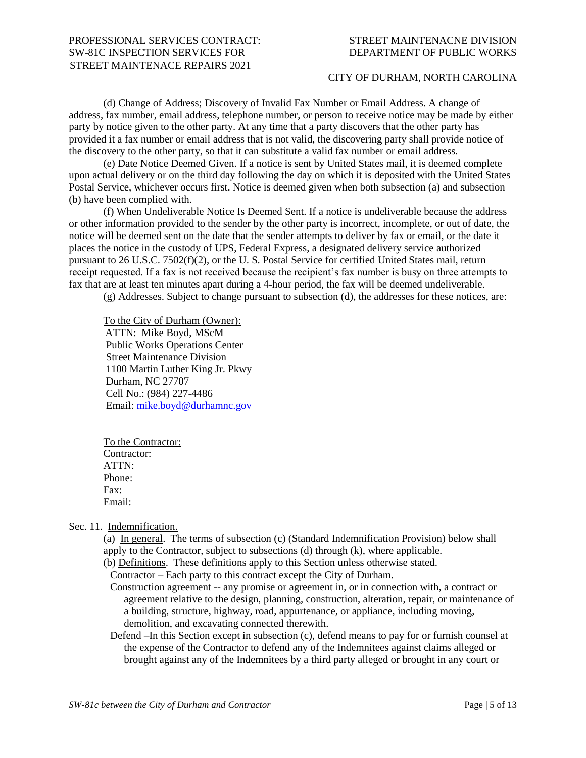## CITY OF DURHAM, NORTH CAROLINA

(d) Change of Address; Discovery of Invalid Fax Number or Email Address. A change of address, fax number, email address, telephone number, or person to receive notice may be made by either party by notice given to the other party. At any time that a party discovers that the other party has provided it a fax number or email address that is not valid, the discovering party shall provide notice of the discovery to the other party, so that it can substitute a valid fax number or email address.

(e) Date Notice Deemed Given. If a notice is sent by United States mail, it is deemed complete upon actual delivery or on the third day following the day on which it is deposited with the United States Postal Service, whichever occurs first. Notice is deemed given when both subsection (a) and subsection (b) have been complied with.

(f) When Undeliverable Notice Is Deemed Sent. If a notice is undeliverable because the address or other information provided to the sender by the other party is incorrect, incomplete, or out of date, the notice will be deemed sent on the date that the sender attempts to deliver by fax or email, or the date it places the notice in the custody of UPS, Federal Express, a designated delivery service authorized pursuant to 26 U.S.C. 7502(f)(2), or the U. S. Postal Service for certified United States mail, return receipt requested. If a fax is not received because the recipient's fax number is busy on three attempts to fax that are at least ten minutes apart during a 4-hour period, the fax will be deemed undeliverable.

(g) Addresses. Subject to change pursuant to subsection (d), the addresses for these notices, are:

To the City of Durham (Owner): ATTN: Mike Boyd, MScM Public Works Operations Center Street Maintenance Division 1100 Martin Luther King Jr. Pkwy Durham, NC 27707 Cell No.: (984) 227-4486 Email: [mike.boyd@durhamnc.gov](mailto:mike.boyd@durhamnc.gov)

To the Contractor: Contractor: ATTN: Phone: Fax: Email:

Sec. 11. Indemnification.

(a) In general. The terms of subsection (c) (Standard Indemnification Provision) below shall apply to the Contractor, subject to subsections (d) through (k), where applicable.

(b) Definitions. These definitions apply to this Section unless otherwise stated.

Contractor – Each party to this contract except the City of Durham.

Construction agreement -- any promise or agreement in, or in connection with, a contract or agreement relative to the design, planning, construction, alteration, repair, or maintenance of a building, structure, highway, road, appurtenance, or appliance, including moving, demolition, and excavating connected therewith.

Defend –In this Section except in subsection (c), defend means to pay for or furnish counsel at the expense of the Contractor to defend any of the Indemnitees against claims alleged or brought against any of the Indemnitees by a third party alleged or brought in any court or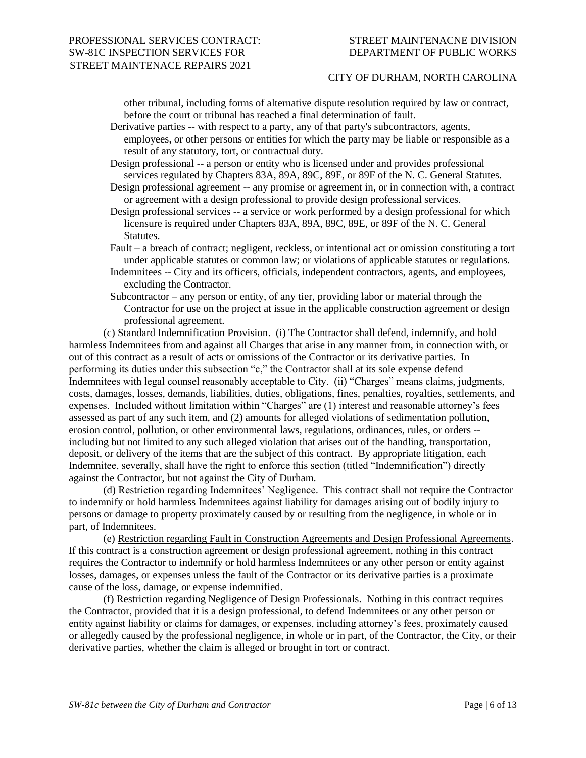other tribunal, including forms of alternative dispute resolution required by law or contract, before the court or tribunal has reached a final determination of fault.

Derivative parties -- with respect to a party, any of that party's subcontractors, agents, employees, or other persons or entities for which the party may be liable or responsible as a result of any statutory, tort, or contractual duty.

Design professional -- a person or entity who is licensed under and provides professional services regulated by Chapters 83A, 89A, 89C, 89E, or 89F of the N. C. General Statutes.

- Design professional agreement -- any promise or agreement in, or in connection with, a contract or agreement with a design professional to provide design professional services.
- Design professional services -- a service or work performed by a design professional for which licensure is required under Chapters 83A, 89A, 89C, 89E, or 89F of the N. C. General Statutes.
- Fault a breach of contract; negligent, reckless, or intentional act or omission constituting a tort under applicable statutes or common law; or violations of applicable statutes or regulations.
- Indemnitees -- City and its officers, officials, independent contractors, agents, and employees, excluding the Contractor.
- Subcontractor any person or entity, of any tier, providing labor or material through the Contractor for use on the project at issue in the applicable construction agreement or design professional agreement.

(c) Standard Indemnification Provision. (i) The Contractor shall defend, indemnify, and hold harmless Indemnitees from and against all Charges that arise in any manner from, in connection with, or out of this contract as a result of acts or omissions of the Contractor or its derivative parties. In performing its duties under this subsection "c," the Contractor shall at its sole expense defend Indemnitees with legal counsel reasonably acceptable to City. (ii) "Charges" means claims, judgments, costs, damages, losses, demands, liabilities, duties, obligations, fines, penalties, royalties, settlements, and expenses. Included without limitation within "Charges" are (1) interest and reasonable attorney's fees assessed as part of any such item, and (2) amounts for alleged violations of sedimentation pollution, erosion control, pollution, or other environmental laws, regulations, ordinances, rules, or orders - including but not limited to any such alleged violation that arises out of the handling, transportation, deposit, or delivery of the items that are the subject of this contract. By appropriate litigation, each Indemnitee, severally, shall have the right to enforce this section (titled "Indemnification") directly against the Contractor, but not against the City of Durham.

(d) Restriction regarding Indemnitees' Negligence. This contract shall not require the Contractor to indemnify or hold harmless Indemnitees against liability for damages arising out of bodily injury to persons or damage to property proximately caused by or resulting from the negligence, in whole or in part, of Indemnitees.

(e) Restriction regarding Fault in Construction Agreements and Design Professional Agreements. If this contract is a construction agreement or design professional agreement, nothing in this contract requires the Contractor to indemnify or hold harmless Indemnitees or any other person or entity against losses, damages, or expenses unless the fault of the Contractor or its derivative parties is a proximate cause of the loss, damage, or expense indemnified.

(f) Restriction regarding Negligence of Design Professionals. Nothing in this contract requires the Contractor, provided that it is a design professional, to defend Indemnitees or any other person or entity against liability or claims for damages, or expenses, including attorney's fees, proximately caused or allegedly caused by the professional negligence, in whole or in part, of the Contractor, the City, or their derivative parties, whether the claim is alleged or brought in tort or contract.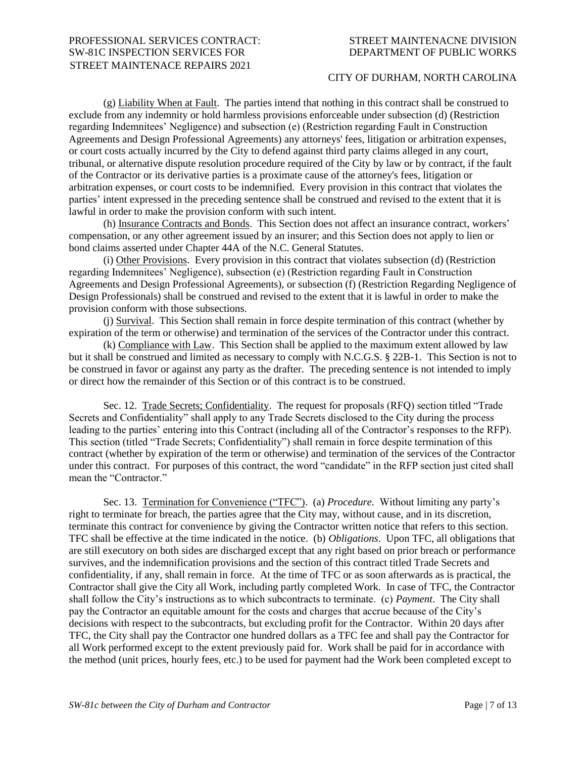## CITY OF DURHAM, NORTH CAROLINA

(g) Liability When at Fault. The parties intend that nothing in this contract shall be construed to exclude from any indemnity or hold harmless provisions enforceable under subsection (d) (Restriction regarding Indemnitees' Negligence) and subsection (e) (Restriction regarding Fault in Construction Agreements and Design Professional Agreements) any attorneys' fees, litigation or arbitration expenses, or court costs actually incurred by the City to defend against third party claims alleged in any court, tribunal, or alternative dispute resolution procedure required of the City by law or by contract, if the fault of the Contractor or its derivative parties is a proximate cause of the attorney's fees, litigation or arbitration expenses, or court costs to be indemnified. Every provision in this contract that violates the parties' intent expressed in the preceding sentence shall be construed and revised to the extent that it is lawful in order to make the provision conform with such intent.

(h) Insurance Contracts and Bonds. This Section does not affect an insurance contract, workers' compensation, or any other agreement issued by an insurer; and this Section does not apply to lien or bond claims asserted under Chapter 44A of the N.C. General Statutes.

(i) Other Provisions. Every provision in this contract that violates subsection (d) (Restriction regarding Indemnitees' Negligence), subsection (e) (Restriction regarding Fault in Construction Agreements and Design Professional Agreements), or subsection (f) (Restriction Regarding Negligence of Design Professionals) shall be construed and revised to the extent that it is lawful in order to make the provision conform with those subsections.

(j) Survival. This Section shall remain in force despite termination of this contract (whether by expiration of the term or otherwise) and termination of the services of the Contractor under this contract.

(k) Compliance with Law. This Section shall be applied to the maximum extent allowed by law but it shall be construed and limited as necessary to comply with N.C.G.S. § 22B-1. This Section is not to be construed in favor or against any party as the drafter. The preceding sentence is not intended to imply or direct how the remainder of this Section or of this contract is to be construed.

Sec. 12. Trade Secrets; Confidentiality. The request for proposals (RFQ) section titled "Trade Secrets and Confidentiality" shall apply to any Trade Secrets disclosed to the City during the process leading to the parties' entering into this Contract (including all of the Contractor's responses to the RFP). This section (titled "Trade Secrets; Confidentiality") shall remain in force despite termination of this contract (whether by expiration of the term or otherwise) and termination of the services of the Contractor under this contract. For purposes of this contract, the word "candidate" in the RFP section just cited shall mean the "Contractor."

Sec. 13. Termination for Convenience ("TFC"). (a) *Procedure.* Without limiting any party's right to terminate for breach, the parties agree that the City may, without cause, and in its discretion, terminate this contract for convenience by giving the Contractor written notice that refers to this section. TFC shall be effective at the time indicated in the notice. (b) *Obligations*. Upon TFC, all obligations that are still executory on both sides are discharged except that any right based on prior breach or performance survives, and the indemnification provisions and the section of this contract titled Trade Secrets and confidentiality, if any, shall remain in force. At the time of TFC or as soon afterwards as is practical, the Contractor shall give the City all Work, including partly completed Work. In case of TFC, the Contractor shall follow the City's instructions as to which subcontracts to terminate. (c) *Payment*. The City shall pay the Contractor an equitable amount for the costs and charges that accrue because of the City's decisions with respect to the subcontracts, but excluding profit for the Contractor. Within 20 days after TFC, the City shall pay the Contractor one hundred dollars as a TFC fee and shall pay the Contractor for all Work performed except to the extent previously paid for. Work shall be paid for in accordance with the method (unit prices, hourly fees, etc.) to be used for payment had the Work been completed except to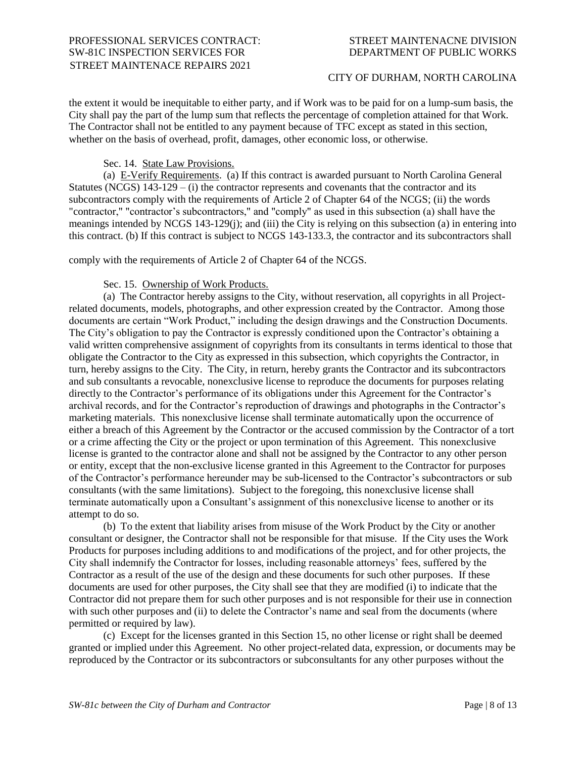the extent it would be inequitable to either party, and if Work was to be paid for on a lump-sum basis, the City shall pay the part of the lump sum that reflects the percentage of completion attained for that Work. The Contractor shall not be entitled to any payment because of TFC except as stated in this section, whether on the basis of overhead, profit, damages, other economic loss, or otherwise.

## Sec. 14. State Law Provisions.

(a) E-Verify Requirements. (a) If this contract is awarded pursuant to North Carolina General Statutes (NCGS)  $143-129 - (i)$  the contractor represents and covenants that the contractor and its subcontractors comply with the requirements of Article 2 of Chapter 64 of the NCGS; (ii) the words "contractor," "contractor's subcontractors," and "comply" as used in this subsection (a) shall have the meanings intended by NCGS 143-129(j); and (iii) the City is relying on this subsection (a) in entering into this contract. (b) If this contract is subject to NCGS 143-133.3, the contractor and its subcontractors shall

comply with the requirements of Article 2 of Chapter 64 of the NCGS.

## Sec. 15. Ownership of Work Products.

(a) The Contractor hereby assigns to the City, without reservation, all copyrights in all Projectrelated documents, models, photographs, and other expression created by the Contractor. Among those documents are certain "Work Product," including the design drawings and the Construction Documents. The City's obligation to pay the Contractor is expressly conditioned upon the Contractor's obtaining a valid written comprehensive assignment of copyrights from its consultants in terms identical to those that obligate the Contractor to the City as expressed in this subsection, which copyrights the Contractor, in turn, hereby assigns to the City. The City, in return, hereby grants the Contractor and its subcontractors and sub consultants a revocable, nonexclusive license to reproduce the documents for purposes relating directly to the Contractor's performance of its obligations under this Agreement for the Contractor's archival records, and for the Contractor's reproduction of drawings and photographs in the Contractor's marketing materials. This nonexclusive license shall terminate automatically upon the occurrence of either a breach of this Agreement by the Contractor or the accused commission by the Contractor of a tort or a crime affecting the City or the project or upon termination of this Agreement. This nonexclusive license is granted to the contractor alone and shall not be assigned by the Contractor to any other person or entity, except that the non-exclusive license granted in this Agreement to the Contractor for purposes of the Contractor's performance hereunder may be sub-licensed to the Contractor's subcontractors or sub consultants (with the same limitations). Subject to the foregoing, this nonexclusive license shall terminate automatically upon a Consultant's assignment of this nonexclusive license to another or its attempt to do so.

(b) To the extent that liability arises from misuse of the Work Product by the City or another consultant or designer, the Contractor shall not be responsible for that misuse. If the City uses the Work Products for purposes including additions to and modifications of the project, and for other projects, the City shall indemnify the Contractor for losses, including reasonable attorneys' fees, suffered by the Contractor as a result of the use of the design and these documents for such other purposes. If these documents are used for other purposes, the City shall see that they are modified (i) to indicate that the Contractor did not prepare them for such other purposes and is not responsible for their use in connection with such other purposes and (ii) to delete the Contractor's name and seal from the documents (where permitted or required by law).

(c) Except for the licenses granted in this Section 15, no other license or right shall be deemed granted or implied under this Agreement. No other project-related data, expression, or documents may be reproduced by the Contractor or its subcontractors or subconsultants for any other purposes without the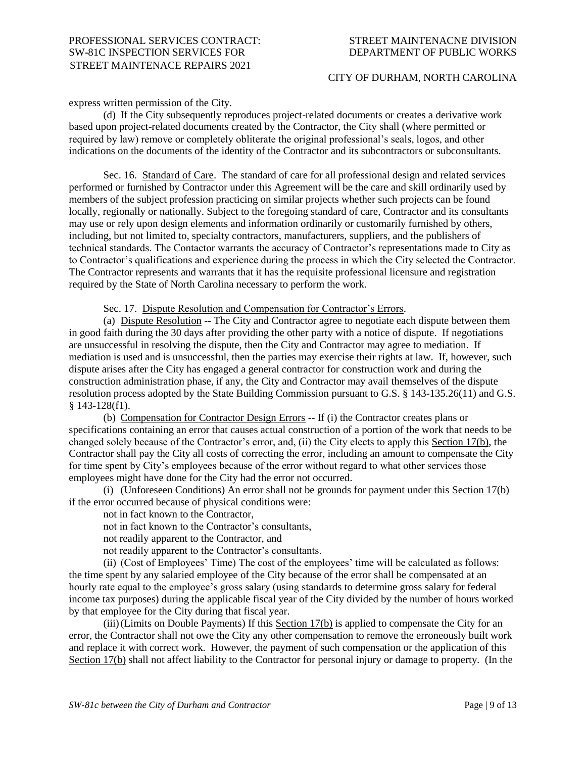## CITY OF DURHAM, NORTH CAROLINA

express written permission of the City.

(d) If the City subsequently reproduces project-related documents or creates a derivative work based upon project-related documents created by the Contractor, the City shall (where permitted or required by law) remove or completely obliterate the original professional's seals, logos, and other indications on the documents of the identity of the Contractor and its subcontractors or subconsultants.

Sec. 16. Standard of Care. The standard of care for all professional design and related services performed or furnished by Contractor under this Agreement will be the care and skill ordinarily used by members of the subject profession practicing on similar projects whether such projects can be found locally, regionally or nationally. Subject to the foregoing standard of care, Contractor and its consultants may use or rely upon design elements and information ordinarily or customarily furnished by others, including, but not limited to, specialty contractors, manufacturers, suppliers, and the publishers of technical standards. The Contactor warrants the accuracy of Contractor's representations made to City as to Contractor's qualifications and experience during the process in which the City selected the Contractor. The Contractor represents and warrants that it has the requisite professional licensure and registration required by the State of North Carolina necessary to perform the work.

Sec. 17. Dispute Resolution and Compensation for Contractor's Errors.

(a) Dispute Resolution -- The City and Contractor agree to negotiate each dispute between them in good faith during the 30 days after providing the other party with a notice of dispute. If negotiations are unsuccessful in resolving the dispute, then the City and Contractor may agree to mediation. If mediation is used and is unsuccessful, then the parties may exercise their rights at law. If, however, such dispute arises after the City has engaged a general contractor for construction work and during the construction administration phase, if any, the City and Contractor may avail themselves of the dispute resolution process adopted by the State Building Commission pursuant to G.S. § 143-135.26(11) and G.S. § 143-128(f1).

(b) Compensation for Contractor Design Errors -- If (i) the Contractor creates plans or specifications containing an error that causes actual construction of a portion of the work that needs to be changed solely because of the Contractor's error, and, (ii) the City elects to apply this Section 17(b), the Contractor shall pay the City all costs of correcting the error, including an amount to compensate the City for time spent by City's employees because of the error without regard to what other services those employees might have done for the City had the error not occurred.

(i) (Unforeseen Conditions) An error shall not be grounds for payment under this Section 17(b) if the error occurred because of physical conditions were:

not in fact known to the Contractor,

not in fact known to the Contractor's consultants,

not readily apparent to the Contractor, and

not readily apparent to the Contractor's consultants.

(ii) (Cost of Employees' Time) The cost of the employees' time will be calculated as follows: the time spent by any salaried employee of the City because of the error shall be compensated at an hourly rate equal to the employee's gross salary (using standards to determine gross salary for federal income tax purposes) during the applicable fiscal year of the City divided by the number of hours worked by that employee for the City during that fiscal year.

(iii)(Limits on Double Payments) If this Section 17(b) is applied to compensate the City for an error, the Contractor shall not owe the City any other compensation to remove the erroneously built work and replace it with correct work. However, the payment of such compensation or the application of this Section 17(b) shall not affect liability to the Contractor for personal injury or damage to property. (In the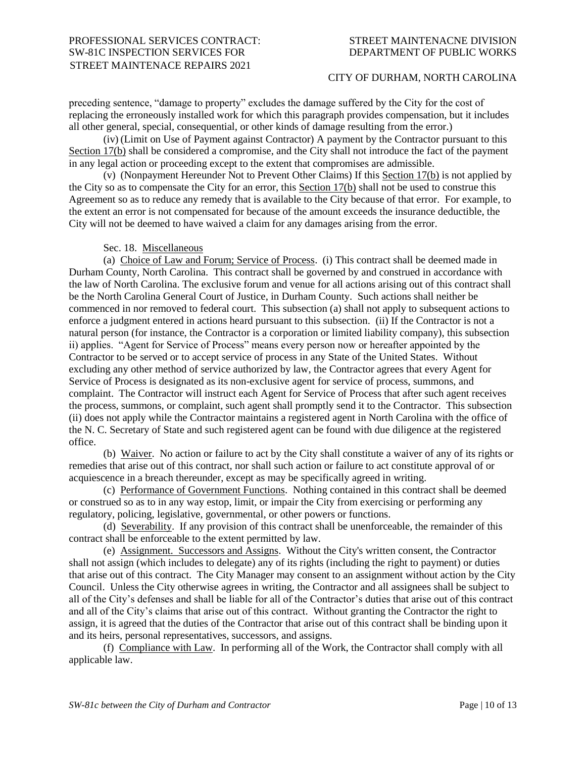preceding sentence, "damage to property" excludes the damage suffered by the City for the cost of replacing the erroneously installed work for which this paragraph provides compensation, but it includes all other general, special, consequential, or other kinds of damage resulting from the error.)

(iv) (Limit on Use of Payment against Contractor) A payment by the Contractor pursuant to this Section 17(b) shall be considered a compromise, and the City shall not introduce the fact of the payment in any legal action or proceeding except to the extent that compromises are admissible.

(v) (Nonpayment Hereunder Not to Prevent Other Claims) If this Section 17(b) is not applied by the City so as to compensate the City for an error, this Section 17(b) shall not be used to construe this Agreement so as to reduce any remedy that is available to the City because of that error. For example, to the extent an error is not compensated for because of the amount exceeds the insurance deductible, the City will not be deemed to have waived a claim for any damages arising from the error.

Sec. 18. Miscellaneous

(a) Choice of Law and Forum; Service of Process. (i) This contract shall be deemed made in Durham County, North Carolina. This contract shall be governed by and construed in accordance with the law of North Carolina. The exclusive forum and venue for all actions arising out of this contract shall be the North Carolina General Court of Justice, in Durham County. Such actions shall neither be commenced in nor removed to federal court. This subsection (a) shall not apply to subsequent actions to enforce a judgment entered in actions heard pursuant to this subsection. (ii) If the Contractor is not a natural person (for instance, the Contractor is a corporation or limited liability company), this subsection ii) applies. "Agent for Service of Process" means every person now or hereafter appointed by the Contractor to be served or to accept service of process in any State of the United States. Without excluding any other method of service authorized by law, the Contractor agrees that every Agent for Service of Process is designated as its non-exclusive agent for service of process, summons, and complaint. The Contractor will instruct each Agent for Service of Process that after such agent receives the process, summons, or complaint, such agent shall promptly send it to the Contractor. This subsection (ii) does not apply while the Contractor maintains a registered agent in North Carolina with the office of the N. C. Secretary of State and such registered agent can be found with due diligence at the registered office.

(b) Waiver. No action or failure to act by the City shall constitute a waiver of any of its rights or remedies that arise out of this contract, nor shall such action or failure to act constitute approval of or acquiescence in a breach thereunder, except as may be specifically agreed in writing.

(c) Performance of Government Functions. Nothing contained in this contract shall be deemed or construed so as to in any way estop, limit, or impair the City from exercising or performing any regulatory, policing, legislative, governmental, or other powers or functions.

(d) Severability. If any provision of this contract shall be unenforceable, the remainder of this contract shall be enforceable to the extent permitted by law.

(e) Assignment. Successors and Assigns. Without the City's written consent, the Contractor shall not assign (which includes to delegate) any of its rights (including the right to payment) or duties that arise out of this contract. The City Manager may consent to an assignment without action by the City Council. Unless the City otherwise agrees in writing, the Contractor and all assignees shall be subject to all of the City's defenses and shall be liable for all of the Contractor's duties that arise out of this contract and all of the City's claims that arise out of this contract. Without granting the Contractor the right to assign, it is agreed that the duties of the Contractor that arise out of this contract shall be binding upon it and its heirs, personal representatives, successors, and assigns.

(f) Compliance with Law. In performing all of the Work, the Contractor shall comply with all applicable law.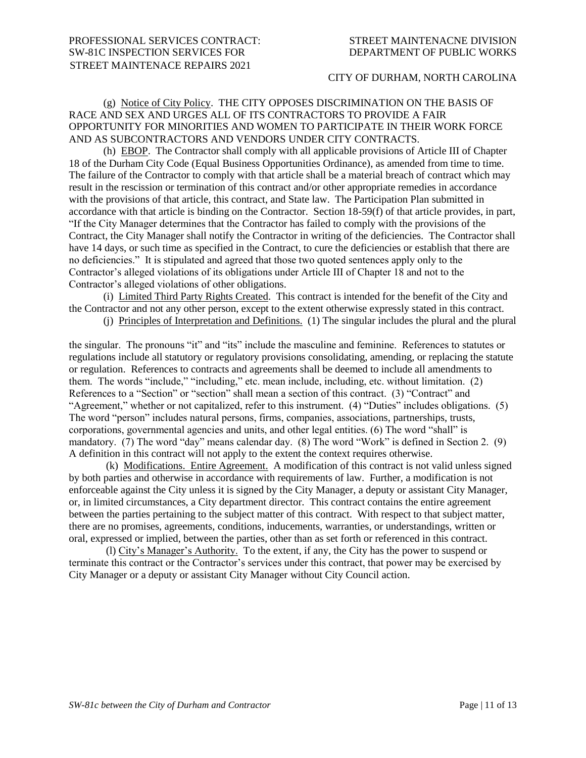# (g) Notice of City Policy. THE CITY OPPOSES DISCRIMINATION ON THE BASIS OF RACE AND SEX AND URGES ALL OF ITS CONTRACTORS TO PROVIDE A FAIR OPPORTUNITY FOR MINORITIES AND WOMEN TO PARTICIPATE IN THEIR WORK FORCE AND AS SUBCONTRACTORS AND VENDORS UNDER CITY CONTRACTS.

(h) EBOP. The Contractor shall comply with all applicable provisions of Article III of Chapter 18 of the Durham City Code (Equal Business Opportunities Ordinance), as amended from time to time. The failure of the Contractor to comply with that article shall be a material breach of contract which may result in the rescission or termination of this contract and/or other appropriate remedies in accordance with the provisions of that article, this contract, and State law. The Participation Plan submitted in accordance with that article is binding on the Contractor. Section 18-59(f) of that article provides, in part, "If the City Manager determines that the Contractor has failed to comply with the provisions of the Contract, the City Manager shall notify the Contractor in writing of the deficiencies. The Contractor shall have 14 days, or such time as specified in the Contract, to cure the deficiencies or establish that there are no deficiencies." It is stipulated and agreed that those two quoted sentences apply only to the Contractor's alleged violations of its obligations under Article III of Chapter 18 and not to the Contractor's alleged violations of other obligations.

(i) Limited Third Party Rights Created. This contract is intended for the benefit of the City and the Contractor and not any other person, except to the extent otherwise expressly stated in this contract.

(j) Principles of Interpretation and Definitions. (1) The singular includes the plural and the plural

the singular. The pronouns "it" and "its" include the masculine and feminine. References to statutes or regulations include all statutory or regulatory provisions consolidating, amending, or replacing the statute or regulation. References to contracts and agreements shall be deemed to include all amendments to them. The words "include," "including," etc. mean include, including, etc. without limitation. (2) References to a "Section" or "section" shall mean a section of this contract. (3) "Contract" and "Agreement," whether or not capitalized, refer to this instrument. (4) "Duties" includes obligations. (5) The word "person" includes natural persons, firms, companies, associations, partnerships, trusts, corporations, governmental agencies and units, and other legal entities. (6) The word "shall" is mandatory. (7) The word "day" means calendar day. (8) The word "Work" is defined in Section 2. (9) A definition in this contract will not apply to the extent the context requires otherwise.

(k) Modifications. Entire Agreement. A modification of this contract is not valid unless signed by both parties and otherwise in accordance with requirements of law. Further, a modification is not enforceable against the City unless it is signed by the City Manager, a deputy or assistant City Manager, or, in limited circumstances, a City department director. This contract contains the entire agreement between the parties pertaining to the subject matter of this contract. With respect to that subject matter, there are no promises, agreements, conditions, inducements, warranties, or understandings, written or oral, expressed or implied, between the parties, other than as set forth or referenced in this contract.

(l) City's Manager's Authority. To the extent, if any, the City has the power to suspend or terminate this contract or the Contractor's services under this contract, that power may be exercised by City Manager or a deputy or assistant City Manager without City Council action.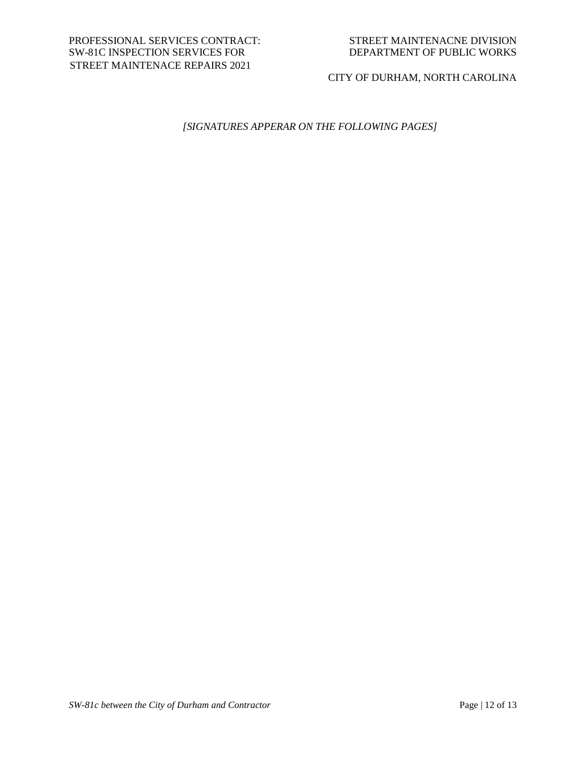CITY OF DURHAM, NORTH CAROLINA

# *[SIGNATURES APPERAR ON THE FOLLOWING PAGES]*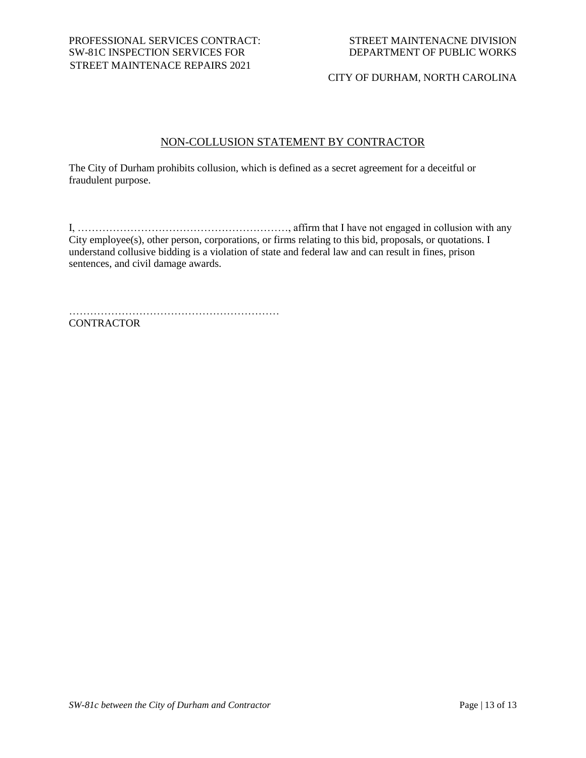# NON-COLLUSION STATEMENT BY CONTRACTOR

The City of Durham prohibits collusion, which is defined as a secret agreement for a deceitful or fraudulent purpose.

I, ……………………………………………………, affirm that I have not engaged in collusion with any City employee(s), other person, corporations, or firms relating to this bid, proposals, or quotations. I understand collusive bidding is a violation of state and federal law and can result in fines, prison sentences, and civil damage awards.

……………………………………………………

**CONTRACTOR**